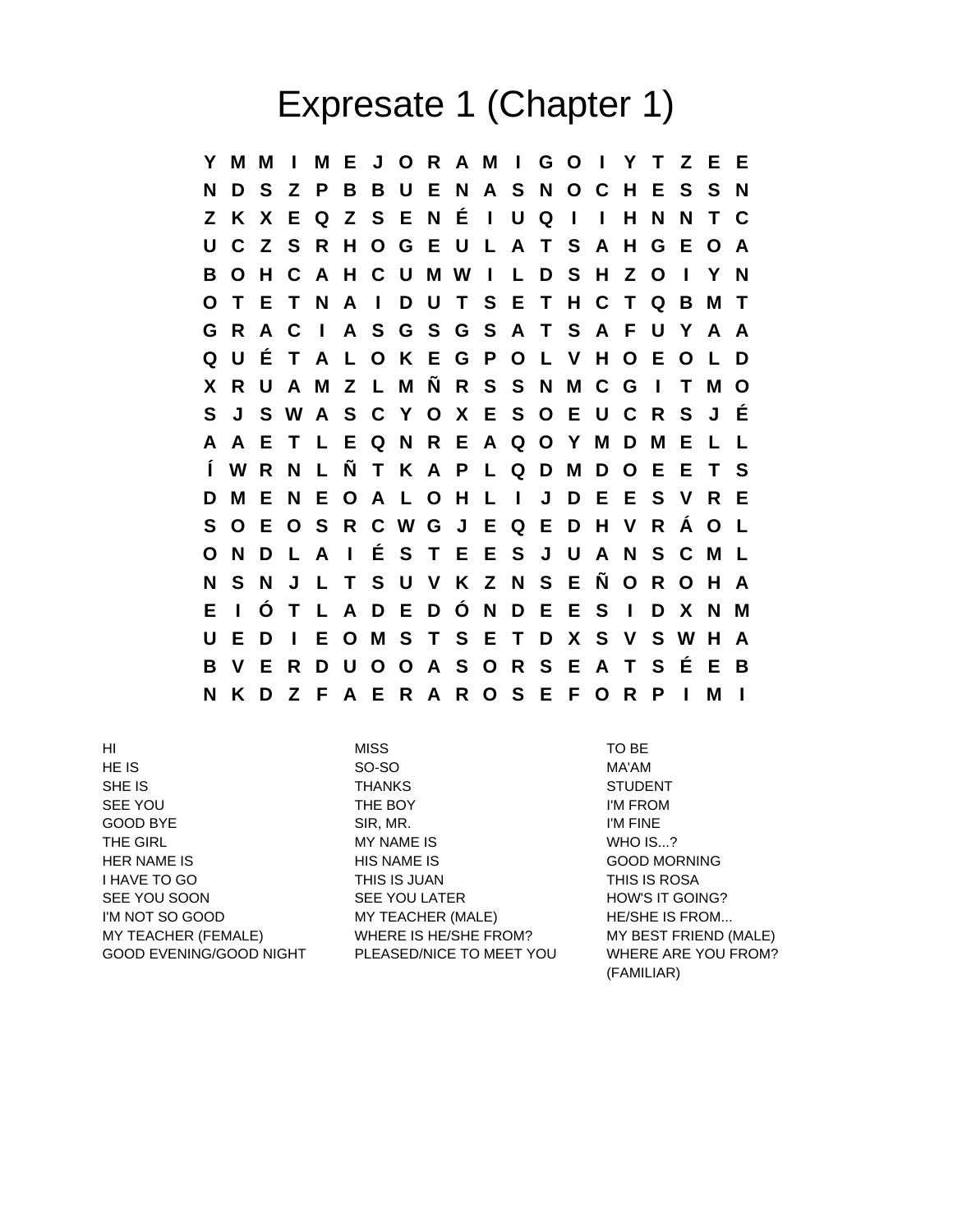## Expresate 1 (Chapter 1)

**Y M M I M E J O R A M I G O I Y T Z E E N D S Z P B B U E N A S N O C H E S S N Z K X E Q Z S E N É I U Q I I H N N T C U C Z S R H O G E U L A T S A H G E O A B O H C A H C U M W I L D S H Z O I Y N O T E T N A I D U T S E T H C T Q B M T G R A C I A S G S G S A T S A F U Y A A Q U É T A L O K E G P O L V H O E O L D X R U A M Z L M Ñ R S S N M C G I T M O S J S W A S C Y O X E S O E U C R S J É A A E T L E Q N R E A Q O Y M D M E L L Í W R N L Ñ T K A P L Q D M D O E E T S D M E N E O A L O H L I J D E E S V R E S O E O S R C W G J E Q E D H V R Á O L O N D L A I É S T E E S J U A N S C M L N S N J L T S U V K Z N S E Ñ O R O H A E I Ó T L A D E D Ó N D E E S I D X N M U E D I E O M S T S E T D X S V S W H A B V E R D U O O A S O R S E A T S É E B N K D Z F A E R A R O S E F O R P I M I**

HI MISS TO BE HE IS SO-SO MA'AM SHE IS
SHE IS
SHE IS
SHE IS
SHE IS
SHE IS
SHE IS
SHE IS
SHE IS
SHE IS
SHE IS
SHE IS
SHE IS
SHE IS
SHE IS
SHE IS
SHE IS
SHE IS
SHE IS
SHE IS
SHE IS SEE YOU **THE BOY** THE ROY **I'M FROM** GOOD BYE SIR, MR. I'M FINE THE GIRL GIRL GIRL GIRL MY NAME IS THE GIRL WHO IS...? HER NAME IS HIS NAME IS GOOD MORNING I HAVE TO GO THIS IS JUAN THIS IS ROSA SEE YOU SOON SEE YOU LATER SEE TO HOW'S IT GOING? I'M NOT SO GOOD **MY TEACHER (MALE)** HE/SHE IS FROM... MY TEACHER (FEMALE) WHERE IS HE/SHE FROM? MY BEST FRIEND (MALE) GOOD EVENING/GOOD NIGHT PLEASED/NICE TO MEET YOU WHERE ARE YOU FROM?

(FAMILIAR)